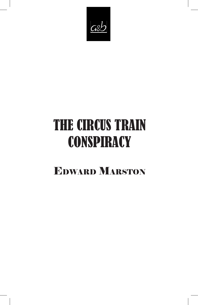

# THE CIRCUS TRAIN **CONSPIRACY**

## Edward Marston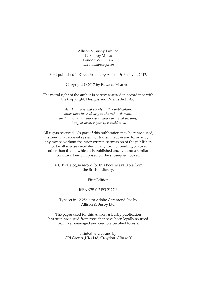Allison & Busby Limited 12 Fitzroy Mews London W1T 6DW *allisonandbusby.com*

First published in Great Britain by Allison & Busby in 2017.

Copyright © 2017 by EDWARD MARSTON

The moral right of the author is hereby asserted in accordance with the Copyright, Designs and Patents Act 1988.

> *All characters and events in this publication, other than those clearly in the public domain, are fictitious and any resemblance to actual persons, living or dead, is purely coincidental.*

All rights reserved. No part of this publication may be reproduced, stored in a retrieval system, or transmitted, in any form or by any means without the prior written permission of the publisher, nor be otherwise circulated in any form of binding or cover other than that in which it is published and without a similar condition being imposed on the subsequent buyer.

> A CIP catalogue record for this book is available from the British Library.

> > First Edition

#### ISBN 978-0-7490-2127-6

Typeset in 12.25/16 pt Adobe Garamond Pro by Allison & Busby Ltd.

The paper used for this Allison & Busby publication has been produced from trees that have been legally sourced from well-managed and credibly certified forests.

> Printed and bound by CPI Group (UK) Ltd, Croydon, CR0 4YY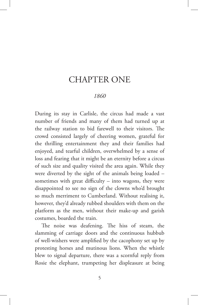### CHAPTER ONE

#### *1860*

During its stay in Carlisle, the circus had made a vast number of friends and many of them had turned up at the railway station to bid farewell to their visitors. The crowd consisted largely of cheering women, grateful for the thrilling entertainment they and their families had enjoyed, and tearful children, overwhelmed by a sense of loss and fearing that it might be an eternity before a circus of such size and quality visited the area again. While they were diverted by the sight of the animals being loaded – sometimes with great difficulty – into wagons, they were disappointed to see no sign of the clowns who'd brought so much merriment to Cumberland. Without realising it, however, they'd already rubbed shoulders with them on the platform as the men, without their make-up and garish costumes, boarded the train.

The noise was deafening. The hiss of steam, the slamming of carriage doors and the continuous hubbub of well-wishers were amplified by the cacophony set up by protesting horses and mutinous lions. When the whistle blew to signal departure, there was a scornful reply from Rosie the elephant, trumpeting her displeasure at being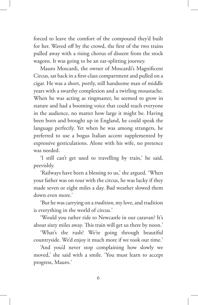forced to leave the comfort of the compound they'd built for her. Waved off by the crowd, the first of the two trains pulled away with a rising chorus of dissent from the stock wagons. It was going to be an ear-splitting journey.

Mauro Moscardi, the owner of Moscardi's Magnificent Circus, sat back in a first-class compartment and pulled on a cigar. He was a short, portly, still handsome man of middle years with a swarthy complexion and a twirling moustache. When he was acting as ringmaster, he seemed to grow in stature and had a booming voice that could reach everyone in the audience, no matter how large it might be. Having been born and brought up in England, he could speak the language perfectly. Yet when he was among strangers, he preferred to use a bogus Italian accent supplemented by expressive gesticulations. Alone with his wife, no pretence was needed.

'I still can't get used to travelling by train,' he said, peevishly.

'Railways have been a blessing to us,' she argued. 'When your father was on tour with the circus, he was lucky if they made seven or eight miles a day. Bad weather slowed them down even more.'

'But he was carrying on a *tradition*, my love, and tradition is everything in the world of circus.'

'Would you rather ride to Newcastle in our caravan? It's about sixty miles away. This train will get us there by noon.'

'What's the rush? We're going through beautiful countryside. We'd enjoy it much more if we took our time.'

'And you'd never stop complaining how slowly we moved,' she said with a smile. 'You must learn to accept progress, Mauro.'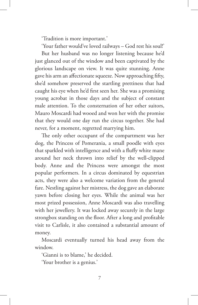'Tradition is more important.'

'Your father would've loved railways – God rest his soul!' But her husband was no longer listening because he'd just glanced out of the window and been captivated by the glorious landscape on view. It was quite stunning. Anne gave his arm an affectionate squeeze. Now approaching fifty, she'd somehow preserved the startling prettiness that had caught his eye when he'd first seen her. She was a promising young acrobat in those days and the subject of constant male attention. To the consternation of her other suitors, Mauro Moscardi had wooed and won her with the promise that they would one day run the circus together. She had never, for a moment, regretted marrying him.

The only other occupant of the compartment was her dog, the Princess of Pomerania, a small poodle with eyes that sparkled with intelligence and with a fluffy white mane around her neck thrown into relief by the well-clipped body. Anne and the Princess were amongst the most popular performers. In a circus dominated by equestrian acts, they were also a welcome variation from the general fare. Nestling against her mistress, the dog gave an elaborate yawn before closing her eyes. While the animal was her most prized possession, Anne Moscardi was also travelling with her jewellery. It was locked away securely in the large strongbox standing on the floor. After a long and profitable visit to Carlisle, it also contained a substantial amount of money.

Moscardi eventually turned his head away from the window.

'Gianni is to blame,' he decided.

'Your brother is a genius.'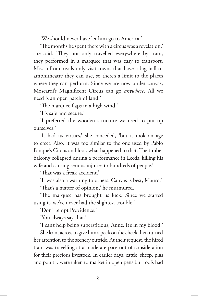'We should never have let him go to America.'

'The months he spent there with a circus was a revelation,' she said. 'They not only travelled everywhere by train, they performed in a marquee that was easy to transport. Most of our rivals only visit towns that have a big hall or amphitheatre they can use, so there's a limit to the places where they can perform. Since we are now under canvas, Moscardi's Magnificent Circus can go *anywhere*. All we need is an open patch of land.'

'The marquee flaps in a high wind.'

'It's safe and secure.'

'I preferred the wooden structure we used to put up ourselves.'

'It had its virtues,' she conceded, 'but it took an age to erect. Also, it was too similar to the one used by Pablo Fanque's Circus and look what happened to that. The timber balcony collapsed during a performance in Leeds, killing his wife and causing serious injuries to hundreds of people.'

'That was a freak accident.'

'It was also a warning to others. Canvas is best, Mauro.'

'That's a matter of opinion,' he murmured.

'The marquee has brought us luck. Since we started using it, we've never had the slightest trouble.'

'Don't tempt Providence.'

'You always say that.'

'I can't help being superstitious, Anne. It's in my blood.'

She leant across to give him a peck on the cheek then turned her attention to the scenery outside. At their request, the hired train was travelling at a moderate pace out of consideration for their precious livestock. In earlier days, cattle, sheep, pigs and poultry were taken to market in open pens but roofs had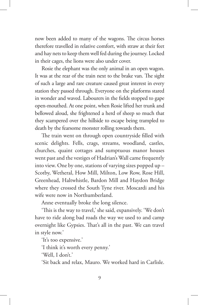now been added to many of the wagons. The circus horses therefore travelled in relative comfort, with straw at their feet and hay nets to keep them well fed during the journey. Locked in their cages, the lions were also under cover.

Rosie the elephant was the only animal in an open wagon. It was at the rear of the train next to the brake van. The sight of such a large and rare creature caused great interest in every station they passed through. Everyone on the platforms stared in wonder and waved. Labourers in the fields stopped to gape open-mouthed. At one point, when Rosie lifted her trunk and bellowed aloud, she frightened a herd of sheep so much that they scampered over the hillside to escape being trampled to death by the fearsome monster rolling towards them.

The train went on through open countryside filled with scenic delights. Fells, crags, streams, woodland, castles, churches, quaint cottages and sumptuous manor houses went past and the vestiges of Hadrian's Wall came frequently into view. One by one, stations of varying sizes popped up – Scotby, Wetheral, How Mill, Milton, Low Row, Rose Hill, Greenhead, Haltwhistle, Bardon Mill and Haydon Bridge where they crossed the South Tyne river. Moscardi and his wife were now in Northumberland.

Anne eventually broke the long silence.

'This is the way to travel,' she said, expansively. 'We don't have to ride along bad roads the way we used to and camp overnight like Gypsies. That's all in the past. We can travel in style now.'

'It's too expensive.'

'I think it's worth every penny.'

'Well, I don't.'

'Sit back and relax, Mauro. We worked hard in Carlisle.